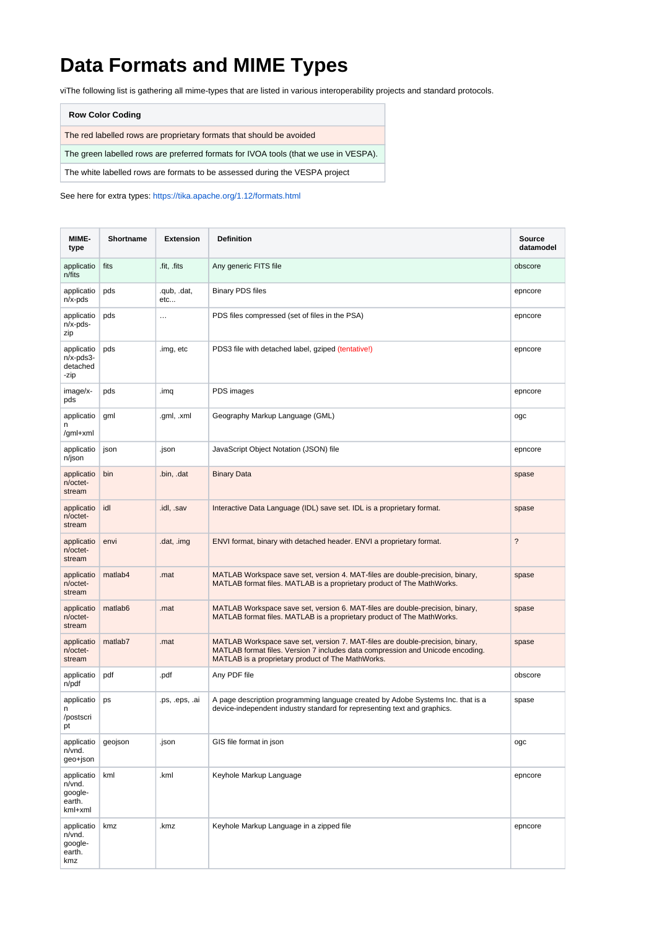## **Data Formats and MIME Types**

viThe following list is gathering all mime-types that are listed in various interoperability projects and standard protocols.

| <b>Row Color Coding</b>                                                              |
|--------------------------------------------------------------------------------------|
| The red labelled rows are proprietary formats that should be avoided                 |
| The green labelled rows are preferred formats for IVOA tools (that we use in VESPA). |
| The white labelled rows are formats to be assessed during the VESPA project          |

See here for extra types: <https://tika.apache.org/1.12/formats.html>

| MIME-<br>type                                        | Shortname | <b>Extension</b>   | <b>Definition</b>                                                                                                                                                                                                    | Source<br>datamodel      |
|------------------------------------------------------|-----------|--------------------|----------------------------------------------------------------------------------------------------------------------------------------------------------------------------------------------------------------------|--------------------------|
| applicatio<br>n/fits                                 | fits      | fit, fits          | Any generic FITS file                                                                                                                                                                                                | obscore                  |
| applicatio<br>n/x-pds                                | pds       | .qub, .dat,<br>etc | <b>Binary PDS files</b>                                                                                                                                                                                              | epncore                  |
| applicatio<br>n/x-pds-<br>zip                        | pds       | $\cdots$           | PDS files compressed (set of files in the PSA)                                                                                                                                                                       | epncore                  |
| applicatio<br>$n/x$ -pds $3$ -<br>detached<br>-zip   | pds       | .img, etc          | PDS3 file with detached label, gziped (tentative!)                                                                                                                                                                   | epncore                  |
| image/x-<br>pds                                      | pds       | .imq               | PDS images                                                                                                                                                                                                           | epncore                  |
| applicatio<br>n<br>/gml+xml                          | gml       | .gml, .xml         | Geography Markup Language (GML)                                                                                                                                                                                      | ogc                      |
| applicatio<br>n/json                                 | json      | .json              | JavaScript Object Notation (JSON) file                                                                                                                                                                               | epncore                  |
| applicatio<br>n/octet-<br>stream                     | bin       | .bin, .dat         | <b>Binary Data</b>                                                                                                                                                                                                   | spase                    |
| applicatio<br>n/octet-<br>stream                     | idl       | .idl, .sav         | Interactive Data Language (IDL) save set. IDL is a proprietary format.                                                                                                                                               | spase                    |
| applicatio<br>n/octet-<br>stream                     | envi      | .dat, .img         | ENVI format, binary with detached header. ENVI a proprietary format.                                                                                                                                                 | $\overline{\phantom{a}}$ |
| applicatio<br>n/octet-<br>stream                     | matlab4   | .mat               | MATLAB Workspace save set, version 4. MAT-files are double-precision, binary,<br>MATLAB format files. MATLAB is a proprietary product of The MathWorks.                                                              | spase                    |
| applicatio<br>n/octet-<br>stream                     | matlab6   | .mat               | MATLAB Workspace save set, version 6. MAT-files are double-precision, binary,<br>MATLAB format files. MATLAB is a proprietary product of The MathWorks.                                                              | spase                    |
| applicatio<br>n/octet-<br>stream                     | matlab7   | .mat               | MATLAB Workspace save set, version 7. MAT-files are double-precision, binary,<br>MATLAB format files. Version 7 includes data compression and Unicode encoding.<br>MATLAB is a proprietary product of The MathWorks. | spase                    |
| applicatio<br>n/pdf                                  | pdf       | .pdf               | Any PDF file                                                                                                                                                                                                         | obscore                  |
| applicatio<br>n<br>/postscri<br>pt                   | ps        | .ps, .eps, .ai     | A page description programming language created by Adobe Systems Inc. that is a<br>device-independent industry standard for representing text and graphics.                                                          | spase                    |
| applicatio<br>n/vnd.<br>geo+json                     | qeojson   | .json              | GIS file format in json                                                                                                                                                                                              | ogc                      |
| applicatio<br>n/vnd.<br>google-<br>earth.<br>kml+xml | kml       | .kml               | Keyhole Markup Language                                                                                                                                                                                              | epncore                  |
| applicatio<br>n/vnd.<br>qoogle-<br>earth.<br>kmz     | kmz       | .kmz               | Keyhole Markup Language in a zipped file                                                                                                                                                                             | epncore                  |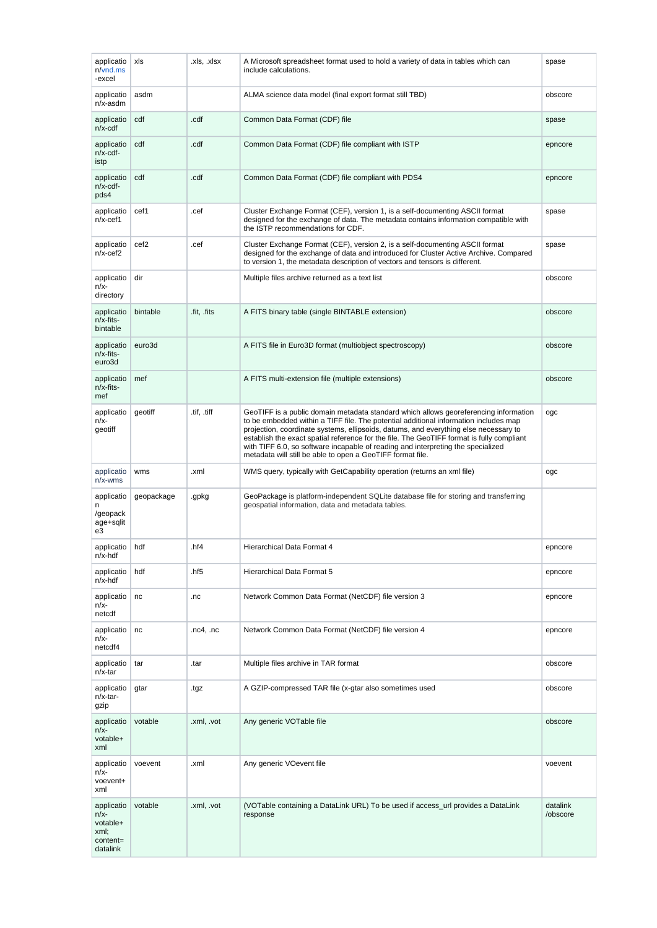| applicatio<br>$n$ / $v$ nd.ms<br>-excel                          | xls              | .xls, .xlsx  | A Microsoft spreadsheet format used to hold a variety of data in tables which can<br>include calculations.                                                                                                                                                                                                                                                                                                                                                                                                          | spase                |
|------------------------------------------------------------------|------------------|--------------|---------------------------------------------------------------------------------------------------------------------------------------------------------------------------------------------------------------------------------------------------------------------------------------------------------------------------------------------------------------------------------------------------------------------------------------------------------------------------------------------------------------------|----------------------|
| applicatio<br>n/x-asdm                                           | asdm             |              | ALMA science data model (final export format still TBD)                                                                                                                                                                                                                                                                                                                                                                                                                                                             | obscore              |
| applicatio<br>$n/x$ -cdf                                         | cdf              | .cdf         | Common Data Format (CDF) file                                                                                                                                                                                                                                                                                                                                                                                                                                                                                       | spase                |
| applicatio<br>n/x-cdf-<br>istp                                   | cdf              | .cdf         | Common Data Format (CDF) file compliant with ISTP                                                                                                                                                                                                                                                                                                                                                                                                                                                                   | epncore              |
| applicatio<br>$n/x$ -cdf-<br>pds4                                | cdf              | .cdf         | Common Data Format (CDF) file compliant with PDS4                                                                                                                                                                                                                                                                                                                                                                                                                                                                   | epncore              |
| applicatio<br>$n/x$ -cef1                                        | cef1             | .cef         | Cluster Exchange Format (CEF), version 1, is a self-documenting ASCII format<br>designed for the exchange of data. The metadata contains information compatible with<br>the ISTP recommendations for CDF.                                                                                                                                                                                                                                                                                                           | spase                |
| applicatio<br>$n/x-cef2$                                         | cef <sub>2</sub> | .cef         | Cluster Exchange Format (CEF), version 2, is a self-documenting ASCII format<br>designed for the exchange of data and introduced for Cluster Active Archive. Compared<br>to version 1, the metadata description of vectors and tensors is different.                                                                                                                                                                                                                                                                | spase                |
| applicatio<br>n/x-<br>directory                                  | dir              |              | Multiple files archive returned as a text list                                                                                                                                                                                                                                                                                                                                                                                                                                                                      | obscore              |
| applicatio<br>n/x-fits-<br>bintable                              | bintable         | fit, fits    | A FITS binary table (single BINTABLE extension)                                                                                                                                                                                                                                                                                                                                                                                                                                                                     | obscore              |
| applicatio<br>n/x-fits-<br>euro3d                                | euro3d           |              | A FITS file in Euro3D format (multiobject spectroscopy)                                                                                                                                                                                                                                                                                                                                                                                                                                                             | obscore              |
| applicatio<br>n/x-fits-<br>mef                                   | mef              |              | A FITS multi-extension file (multiple extensions)                                                                                                                                                                                                                                                                                                                                                                                                                                                                   | obscore              |
| applicatio<br>n/x-<br>geotiff                                    | geotiff          | tif, tiff    | GeoTIFF is a public domain metadata standard which allows georeferencing information<br>to be embedded within a TIFF file. The potential additional information includes map<br>projection, coordinate systems, ellipsoids, datums, and everything else necessary to<br>establish the exact spatial reference for the file. The GeoTIFF format is fully compliant<br>with TIFF 6.0, so software incapable of reading and interpreting the specialized<br>metadata will still be able to open a GeoTIFF format file. | ogc                  |
| applicatio<br>$n/x$ -wms                                         | wms              | .xml         | WMS query, typically with GetCapability operation (returns an xml file)                                                                                                                                                                                                                                                                                                                                                                                                                                             | ogc                  |
| applicatio<br>n<br>/geopack<br>age+sqlit<br>e3                   | geopackage       | .gpkg        | GeoPackage is platform-independent SQLite database file for storing and transferring<br>geospatial information, data and metadata tables.                                                                                                                                                                                                                                                                                                                                                                           |                      |
| applicatio   hdf<br>n/x-hdf                                      |                  | .hf4         | Hierarchical Data Format 4                                                                                                                                                                                                                                                                                                                                                                                                                                                                                          | epncore              |
| applicatio<br>$n/x$ -hdf                                         | hdf              | .hf5         | Hierarchical Data Format 5                                                                                                                                                                                                                                                                                                                                                                                                                                                                                          | epncore              |
| applicatio<br>n/x-<br>netcdf                                     | nc               | .nc          | Network Common Data Format (NetCDF) file version 3                                                                                                                                                                                                                                                                                                                                                                                                                                                                  | epncore              |
| applicatio<br>n/x-<br>netcdf4                                    | nc               | $nc4$ , $nc$ | Network Common Data Format (NetCDF) file version 4                                                                                                                                                                                                                                                                                                                                                                                                                                                                  | epncore              |
| applicatio<br>n/x-tar                                            | tar              | .tar         | Multiple files archive in TAR format                                                                                                                                                                                                                                                                                                                                                                                                                                                                                | obscore              |
| applicatio<br>n/x-tar-<br>gzip                                   | gtar             | .tgz         | A GZIP-compressed TAR file (x-gtar also sometimes used                                                                                                                                                                                                                                                                                                                                                                                                                                                              | obscore              |
| applicatio<br>n/x-<br>votable+<br>xml                            | votable          | .xml, .vot   | Any generic VOTable file                                                                                                                                                                                                                                                                                                                                                                                                                                                                                            | obscore              |
| applicatio<br>n/x-<br>voevent+<br>xml                            | voevent          | .xml         | Any generic VOevent file                                                                                                                                                                                                                                                                                                                                                                                                                                                                                            | voevent              |
| applicatio<br>$n/x-$<br>votable+<br>xml;<br>content=<br>datalink | votable          | .xml, .vot   | (VOTable containing a DataLink URL) To be used if access_url provides a DataLink<br>response                                                                                                                                                                                                                                                                                                                                                                                                                        | datalink<br>/obscore |